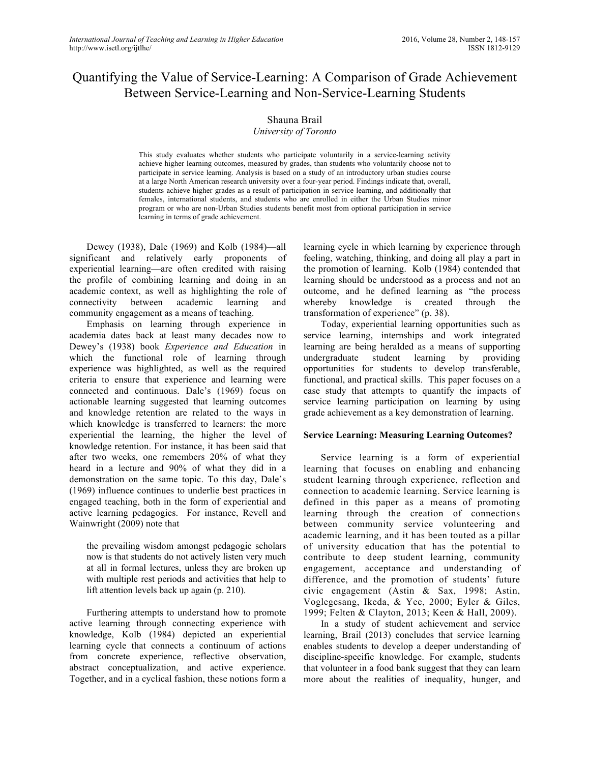# Quantifying the Value of Service-Learning: A Comparison of Grade Achievement Between Service-Learning and Non-Service-Learning Students

## Shauna Brail

## *University of Toronto*

This study evaluates whether students who participate voluntarily in a service-learning activity achieve higher learning outcomes, measured by grades, than students who voluntarily choose not to participate in service learning. Analysis is based on a study of an introductory urban studies course at a large North American research university over a four-year period. Findings indicate that, overall, students achieve higher grades as a result of participation in service learning, and additionally that females, international students, and students who are enrolled in either the Urban Studies minor program or who are non-Urban Studies students benefit most from optional participation in service learning in terms of grade achievement.

Dewey (1938), Dale (1969) and Kolb (1984)—all significant and relatively early proponents of experiential learning—are often credited with raising the profile of combining learning and doing in an academic context, as well as highlighting the role of connectivity between academic learning and community engagement as a means of teaching.

Emphasis on learning through experience in academia dates back at least many decades now to Dewey's (1938) book *Experience and Education* in which the functional role of learning through experience was highlighted, as well as the required criteria to ensure that experience and learning were connected and continuous. Dale's (1969) focus on actionable learning suggested that learning outcomes and knowledge retention are related to the ways in which knowledge is transferred to learners: the more experiential the learning, the higher the level of knowledge retention. For instance, it has been said that after two weeks, one remembers 20% of what they heard in a lecture and 90% of what they did in a demonstration on the same topic. To this day, Dale's (1969) influence continues to underlie best practices in engaged teaching, both in the form of experiential and active learning pedagogies. For instance, Revell and Wainwright (2009) note that

the prevailing wisdom amongst pedagogic scholars now is that students do not actively listen very much at all in formal lectures, unless they are broken up with multiple rest periods and activities that help to lift attention levels back up again (p. 210).

Furthering attempts to understand how to promote active learning through connecting experience with knowledge, Kolb (1984) depicted an experiential learning cycle that connects a continuum of actions from concrete experience, reflective observation, abstract conceptualization, and active experience. Together, and in a cyclical fashion, these notions form a learning cycle in which learning by experience through feeling, watching, thinking, and doing all play a part in the promotion of learning. Kolb (1984) contended that learning should be understood as a process and not an outcome, and he defined learning as "the process whereby knowledge is created through the transformation of experience" (p. 38).

Today, experiential learning opportunities such as service learning, internships and work integrated learning are being heralded as a means of supporting undergraduate student learning by providing opportunities for students to develop transferable, functional, and practical skills. This paper focuses on a case study that attempts to quantify the impacts of service learning participation on learning by using grade achievement as a key demonstration of learning.

## **Service Learning: Measuring Learning Outcomes?**

Service learning is a form of experiential learning that focuses on enabling and enhancing student learning through experience, reflection and connection to academic learning. Service learning is defined in this paper as a means of promoting learning through the creation of connections between community service volunteering and academic learning, and it has been touted as a pillar of university education that has the potential to contribute to deep student learning, community engagement, acceptance and understanding of difference, and the promotion of students' future civic engagement (Astin & Sax, 1998; Astin, Voglegesang, Ikeda, & Yee, 2000; Eyler & Giles, 1999; Felten & Clayton, 2013; Keen & Hall, 2009).

In a study of student achievement and service learning, Brail (2013) concludes that service learning enables students to develop a deeper understanding of discipline-specific knowledge. For example, students that volunteer in a food bank suggest that they can learn more about the realities of inequality, hunger, and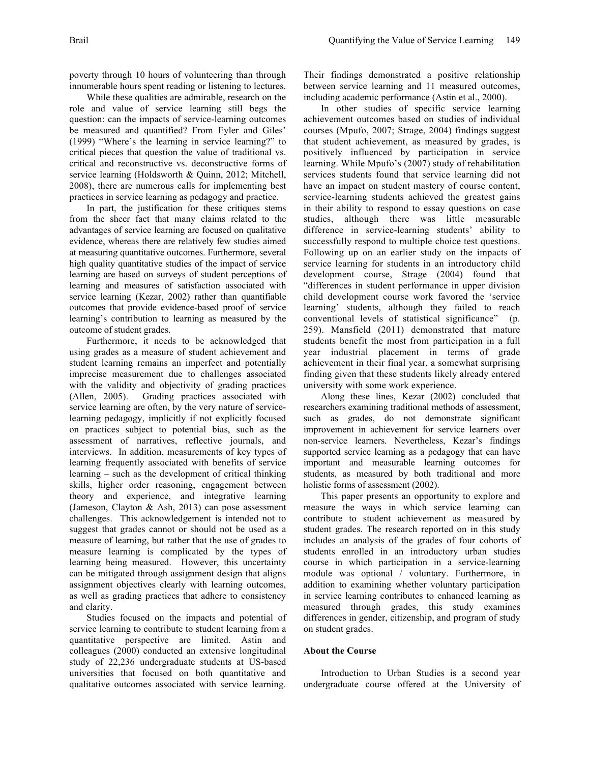poverty through 10 hours of volunteering than through innumerable hours spent reading or listening to lectures.

While these qualities are admirable, research on the role and value of service learning still begs the question: can the impacts of service-learning outcomes be measured and quantified? From Eyler and Giles' (1999) "Where's the learning in service learning?" to critical pieces that question the value of traditional vs. critical and reconstructive vs. deconstructive forms of service learning (Holdsworth & Quinn, 2012; Mitchell, 2008), there are numerous calls for implementing best practices in service learning as pedagogy and practice.

In part, the justification for these critiques stems from the sheer fact that many claims related to the advantages of service learning are focused on qualitative evidence, whereas there are relatively few studies aimed at measuring quantitative outcomes. Furthermore, several high quality quantitative studies of the impact of service learning are based on surveys of student perceptions of learning and measures of satisfaction associated with service learning (Kezar, 2002) rather than quantifiable outcomes that provide evidence-based proof of service learning's contribution to learning as measured by the outcome of student grades.

Furthermore, it needs to be acknowledged that using grades as a measure of student achievement and student learning remains an imperfect and potentially imprecise measurement due to challenges associated with the validity and objectivity of grading practices (Allen, 2005). Grading practices associated with service learning are often, by the very nature of servicelearning pedagogy, implicitly if not explicitly focused on practices subject to potential bias, such as the assessment of narratives, reflective journals, and interviews. In addition, measurements of key types of learning frequently associated with benefits of service learning – such as the development of critical thinking skills, higher order reasoning, engagement between theory and experience, and integrative learning (Jameson, Clayton & Ash, 2013) can pose assessment challenges. This acknowledgement is intended not to suggest that grades cannot or should not be used as a measure of learning, but rather that the use of grades to measure learning is complicated by the types of learning being measured. However, this uncertainty can be mitigated through assignment design that aligns assignment objectives clearly with learning outcomes, as well as grading practices that adhere to consistency and clarity.

Studies focused on the impacts and potential of service learning to contribute to student learning from a quantitative perspective are limited. Astin and colleagues (2000) conducted an extensive longitudinal study of 22,236 undergraduate students at US-based universities that focused on both quantitative and qualitative outcomes associated with service learning.

Their findings demonstrated a positive relationship between service learning and 11 measured outcomes, including academic performance (Astin et al., 2000).

In other studies of specific service learning achievement outcomes based on studies of individual courses (Mpufo, 2007; Strage, 2004) findings suggest that student achievement, as measured by grades, is positively influenced by participation in service learning. While Mpufo's (2007) study of rehabilitation services students found that service learning did not have an impact on student mastery of course content, service-learning students achieved the greatest gains in their ability to respond to essay questions on case studies, although there was little measurable difference in service-learning students' ability to successfully respond to multiple choice test questions. Following up on an earlier study on the impacts of service learning for students in an introductory child development course, Strage (2004) found that "differences in student performance in upper division child development course work favored the 'service learning' students, although they failed to reach conventional levels of statistical significance" (p. 259). Mansfield (2011) demonstrated that mature students benefit the most from participation in a full year industrial placement in terms of grade achievement in their final year, a somewhat surprising finding given that these students likely already entered university with some work experience.

Along these lines, Kezar (2002) concluded that researchers examining traditional methods of assessment, such as grades, do not demonstrate significant improvement in achievement for service learners over non-service learners. Nevertheless, Kezar's findings supported service learning as a pedagogy that can have important and measurable learning outcomes for students, as measured by both traditional and more holistic forms of assessment (2002).

This paper presents an opportunity to explore and measure the ways in which service learning can contribute to student achievement as measured by student grades. The research reported on in this study includes an analysis of the grades of four cohorts of students enrolled in an introductory urban studies course in which participation in a service-learning module was optional / voluntary. Furthermore, in addition to examining whether voluntary participation in service learning contributes to enhanced learning as measured through grades, this study examines differences in gender, citizenship, and program of study on student grades.

## **About the Course**

Introduction to Urban Studies is a second year undergraduate course offered at the University of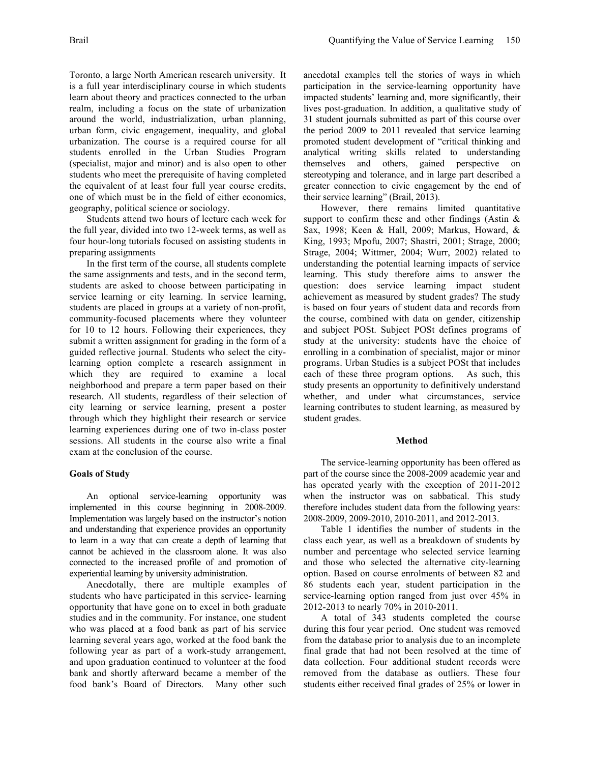Toronto, a large North American research university. It is a full year interdisciplinary course in which students learn about theory and practices connected to the urban realm, including a focus on the state of urbanization around the world, industrialization, urban planning, urban form, civic engagement, inequality, and global urbanization. The course is a required course for all students enrolled in the Urban Studies Program (specialist, major and minor) and is also open to other students who meet the prerequisite of having completed the equivalent of at least four full year course credits, one of which must be in the field of either economics, geography, political science or sociology.

Students attend two hours of lecture each week for the full year, divided into two 12-week terms, as well as four hour-long tutorials focused on assisting students in preparing assignments

In the first term of the course, all students complete the same assignments and tests, and in the second term, students are asked to choose between participating in service learning or city learning. In service learning, students are placed in groups at a variety of non-profit, community-focused placements where they volunteer for 10 to 12 hours. Following their experiences, they submit a written assignment for grading in the form of a guided reflective journal. Students who select the citylearning option complete a research assignment in which they are required to examine a local neighborhood and prepare a term paper based on their research. All students, regardless of their selection of city learning or service learning, present a poster through which they highlight their research or service learning experiences during one of two in-class poster sessions. All students in the course also write a final exam at the conclusion of the course.

## **Goals of Study**

An optional service-learning opportunity was implemented in this course beginning in 2008-2009. Implementation was largely based on the instructor's notion and understanding that experience provides an opportunity to learn in a way that can create a depth of learning that cannot be achieved in the classroom alone. It was also connected to the increased profile of and promotion of experiential learning by university administration.

Anecdotally, there are multiple examples of students who have participated in this service- learning opportunity that have gone on to excel in both graduate studies and in the community. For instance, one student who was placed at a food bank as part of his service learning several years ago, worked at the food bank the following year as part of a work-study arrangement, and upon graduation continued to volunteer at the food bank and shortly afterward became a member of the food bank's Board of Directors. Many other such

anecdotal examples tell the stories of ways in which participation in the service-learning opportunity have impacted students' learning and, more significantly, their lives post-graduation. In addition, a qualitative study of 31 student journals submitted as part of this course over the period 2009 to 2011 revealed that service learning promoted student development of "critical thinking and analytical writing skills related to understanding themselves and others, gained perspective on stereotyping and tolerance, and in large part described a greater connection to civic engagement by the end of their service learning" (Brail, 2013).

However, there remains limited quantitative support to confirm these and other findings (Astin  $\&$ Sax, 1998; Keen & Hall, 2009; Markus, Howard, & King, 1993; Mpofu, 2007; Shastri, 2001; Strage, 2000; Strage, 2004; Wittmer, 2004; Wurr, 2002) related to understanding the potential learning impacts of service learning. This study therefore aims to answer the question: does service learning impact student achievement as measured by student grades? The study is based on four years of student data and records from the course, combined with data on gender, citizenship and subject POSt. Subject POSt defines programs of study at the university: students have the choice of enrolling in a combination of specialist, major or minor programs. Urban Studies is a subject POSt that includes each of these three program options. As such, this study presents an opportunity to definitively understand whether, and under what circumstances, service learning contributes to student learning, as measured by student grades.

## **Method**

The service-learning opportunity has been offered as part of the course since the 2008-2009 academic year and has operated yearly with the exception of 2011-2012 when the instructor was on sabbatical. This study therefore includes student data from the following years: 2008-2009, 2009-2010, 2010-2011, and 2012-2013.

Table 1 identifies the number of students in the class each year, as well as a breakdown of students by number and percentage who selected service learning and those who selected the alternative city-learning option. Based on course enrolments of between 82 and 86 students each year, student participation in the service-learning option ranged from just over 45% in 2012-2013 to nearly 70% in 2010-2011.

A total of 343 students completed the course during this four year period. One student was removed from the database prior to analysis due to an incomplete final grade that had not been resolved at the time of data collection. Four additional student records were removed from the database as outliers. These four students either received final grades of 25% or lower in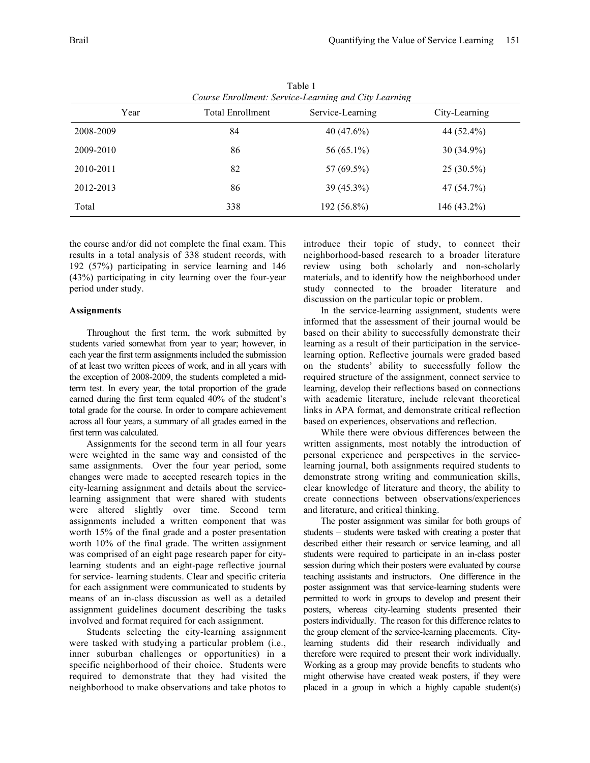| Course Enrollment: Service-Learning and City Learning |                         |                  |               |  |  |  |  |  |
|-------------------------------------------------------|-------------------------|------------------|---------------|--|--|--|--|--|
| Year                                                  | <b>Total Enrollment</b> | Service-Learning | City-Learning |  |  |  |  |  |
| 2008-2009                                             | 84                      | 40(47.6%)        | 44 (52.4%)    |  |  |  |  |  |
| 2009-2010                                             | 86                      | 56 (65.1%)       | 30 (34.9%)    |  |  |  |  |  |
| 2010-2011                                             | 82                      | 57 (69.5%)       | $25(30.5\%)$  |  |  |  |  |  |
| 2012-2013                                             | 86                      | $39(45.3\%)$     | 47 (54.7%)    |  |  |  |  |  |
| Total                                                 | 338                     | 192 (56.8%)      | $146(43.2\%)$ |  |  |  |  |  |

Table 1

the course and/or did not complete the final exam. This results in a total analysis of 338 student records, with 192 (57%) participating in service learning and 146 (43%) participating in city learning over the four-year period under study.

## **Assignments**

Throughout the first term, the work submitted by students varied somewhat from year to year; however, in each year the first term assignments included the submission of at least two written pieces of work, and in all years with the exception of 2008-2009, the students completed a midterm test. In every year, the total proportion of the grade earned during the first term equaled 40% of the student's total grade for the course. In order to compare achievement across all four years, a summary of all grades earned in the first term was calculated.

Assignments for the second term in all four years were weighted in the same way and consisted of the same assignments. Over the four year period, some changes were made to accepted research topics in the city-learning assignment and details about the servicelearning assignment that were shared with students were altered slightly over time. Second term assignments included a written component that was worth 15% of the final grade and a poster presentation worth 10% of the final grade. The written assignment was comprised of an eight page research paper for citylearning students and an eight-page reflective journal for service- learning students. Clear and specific criteria for each assignment were communicated to students by means of an in-class discussion as well as a detailed assignment guidelines document describing the tasks involved and format required for each assignment.

Students selecting the city-learning assignment were tasked with studying a particular problem (i.e., inner suburban challenges or opportunities) in a specific neighborhood of their choice. Students were required to demonstrate that they had visited the neighborhood to make observations and take photos to introduce their topic of study, to connect their neighborhood-based research to a broader literature review using both scholarly and non-scholarly materials, and to identify how the neighborhood under study connected to the broader literature and discussion on the particular topic or problem.

In the service-learning assignment, students were informed that the assessment of their journal would be based on their ability to successfully demonstrate their learning as a result of their participation in the servicelearning option. Reflective journals were graded based on the students' ability to successfully follow the required structure of the assignment, connect service to learning, develop their reflections based on connections with academic literature, include relevant theoretical links in APA format, and demonstrate critical reflection based on experiences, observations and reflection.

While there were obvious differences between the written assignments, most notably the introduction of personal experience and perspectives in the servicelearning journal, both assignments required students to demonstrate strong writing and communication skills, clear knowledge of literature and theory, the ability to create connections between observations/experiences and literature, and critical thinking.

The poster assignment was similar for both groups of students – students were tasked with creating a poster that described either their research or service learning, and all students were required to participate in an in-class poster session during which their posters were evaluated by course teaching assistants and instructors. One difference in the poster assignment was that service-learning students were permitted to work in groups to develop and present their posters, whereas city-learning students presented their posters individually. The reason for this difference relates to the group element of the service-learning placements. Citylearning students did their research individually and therefore were required to present their work individually. Working as a group may provide benefits to students who might otherwise have created weak posters, if they were placed in a group in which a highly capable student(s)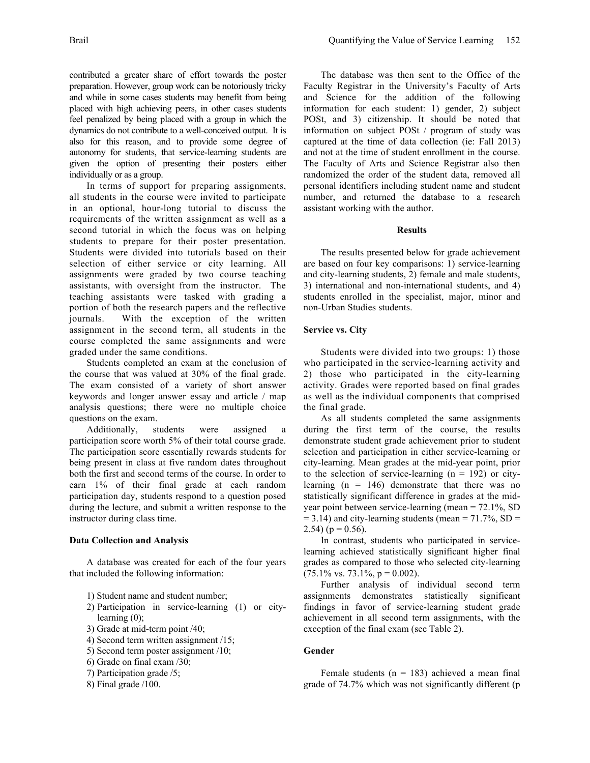contributed a greater share of effort towards the poster preparation. However, group work can be notoriously tricky and while in some cases students may benefit from being placed with high achieving peers, in other cases students feel penalized by being placed with a group in which the dynamics do not contribute to a well-conceived output. It is also for this reason, and to provide some degree of autonomy for students, that service-learning students are given the option of presenting their posters either individually or as a group.

In terms of support for preparing assignments, all students in the course were invited to participate in an optional, hour-long tutorial to discuss the requirements of the written assignment as well as a second tutorial in which the focus was on helping students to prepare for their poster presentation. Students were divided into tutorials based on their selection of either service or city learning. All assignments were graded by two course teaching assistants, with oversight from the instructor. The teaching assistants were tasked with grading a portion of both the research papers and the reflective journals. With the exception of the written assignment in the second term, all students in the course completed the same assignments and were graded under the same conditions.

Students completed an exam at the conclusion of the course that was valued at 30% of the final grade. The exam consisted of a variety of short answer keywords and longer answer essay and article / map analysis questions; there were no multiple choice questions on the exam.

Additionally, students were assigned a participation score worth 5% of their total course grade. The participation score essentially rewards students for being present in class at five random dates throughout both the first and second terms of the course. In order to earn 1% of their final grade at each random participation day, students respond to a question posed during the lecture, and submit a written response to the instructor during class time.

## **Data Collection and Analysis**

A database was created for each of the four years that included the following information:

- 1) Student name and student number;
- 2) Participation in service-learning (1) or citylearning (0);
- 3) Grade at mid-term point /40;
- 4) Second term written assignment /15;
- 5) Second term poster assignment /10;
- 6) Grade on final exam /30;
- 7) Participation grade /5;
- 8) Final grade /100.

The database was then sent to the Office of the Faculty Registrar in the University's Faculty of Arts and Science for the addition of the following information for each student: 1) gender, 2) subject POSt, and 3) citizenship. It should be noted that information on subject POSt / program of study was captured at the time of data collection (ie: Fall 2013) and not at the time of student enrollment in the course. The Faculty of Arts and Science Registrar also then randomized the order of the student data, removed all personal identifiers including student name and student number, and returned the database to a research assistant working with the author.

## **Results**

The results presented below for grade achievement are based on four key comparisons: 1) service-learning and city-learning students, 2) female and male students, 3) international and non-international students, and 4) students enrolled in the specialist, major, minor and non-Urban Studies students.

## **Service vs. City**

Students were divided into two groups: 1) those who participated in the service-learning activity and 2) those who participated in the city-learning activity. Grades were reported based on final grades as well as the individual components that comprised the final grade.

As all students completed the same assignments during the first term of the course, the results demonstrate student grade achievement prior to student selection and participation in either service-learning or city-learning. Mean grades at the mid-year point, prior to the selection of service-learning  $(n = 192)$  or citylearning  $(n = 146)$  demonstrate that there was no statistically significant difference in grades at the midyear point between service-learning (mean = 72.1%, SD  $= 3.14$ ) and city-learning students (mean  $= 71.7\%$ , SD  $=$ 2.54) ( $p = 0.56$ ).

In contrast, students who participated in servicelearning achieved statistically significant higher final grades as compared to those who selected city-learning  $(75.1\% \text{ vs. } 73.1\%, \text{ p} = 0.002).$ 

Further analysis of individual second term assignments demonstrates statistically significant findings in favor of service-learning student grade achievement in all second term assignments, with the exception of the final exam (see Table 2).

## **Gender**

Female students ( $n = 183$ ) achieved a mean final grade of 74.7% which was not significantly different (p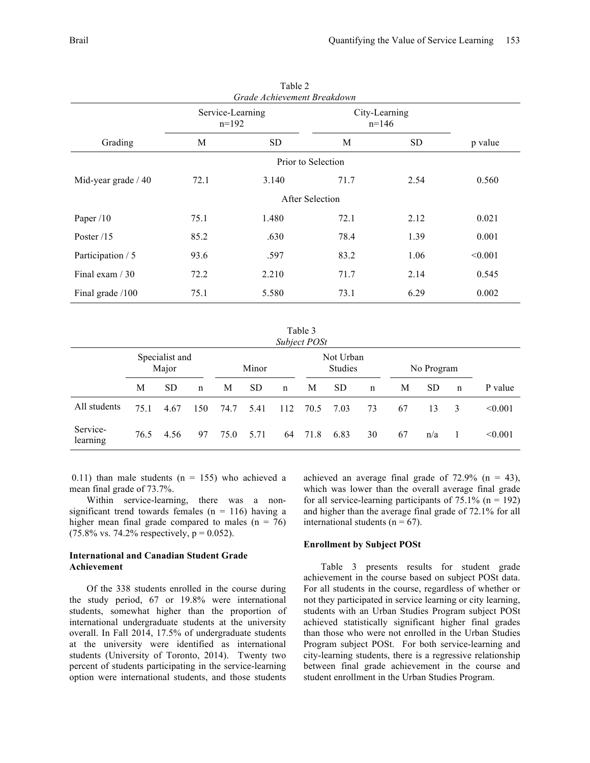| lable 2<br>Grade Achievement Breakdown |                             |           |                          |           |         |  |  |  |  |
|----------------------------------------|-----------------------------|-----------|--------------------------|-----------|---------|--|--|--|--|
|                                        | Service-Learning<br>$n=192$ |           | City-Learning<br>$n=146$ |           |         |  |  |  |  |
| Grading                                | M                           | <b>SD</b> | M                        | <b>SD</b> | p value |  |  |  |  |
| Prior to Selection                     |                             |           |                          |           |         |  |  |  |  |
| Mid-year grade / 40                    | 72.1                        | 3.140     | 71.7                     | 2.54      | 0.560   |  |  |  |  |
| <b>After Selection</b>                 |                             |           |                          |           |         |  |  |  |  |
| Paper /10                              | 75.1                        | 1.480     | 72.1                     | 2.12      | 0.021   |  |  |  |  |
| Poster $/15$                           | 85.2                        | .630      | 78.4                     | 1.39      | 0.001   |  |  |  |  |
| Participation / 5                      | 93.6                        | .597      | 83.2                     | 1.06      | < 0.001 |  |  |  |  |
| Final exam $/30$                       | 72.2                        | 2.210     | 71.7                     | 2.14      | 0.545   |  |  |  |  |
| Final grade /100                       | 75.1                        | 5.580     | 73.1                     | 6.29      | 0.002   |  |  |  |  |

 $T<sub>1</sub>$   $\sim$ 

Table 3 *Subject POSt*

| $\mathcal{O}(U)$ cti i $\mathcal{O}(U)$ |                         |           |       |      |                      |     |            |           |    |    |           |   |         |
|-----------------------------------------|-------------------------|-----------|-------|------|----------------------|-----|------------|-----------|----|----|-----------|---|---------|
|                                         | Specialist and<br>Major |           | Minor |      | Not Urban<br>Studies |     | No Program |           |    |    |           |   |         |
|                                         | M                       | <b>SD</b> | n     | М    | <b>SD</b>            | n   | M          | <b>SD</b> | n  | M  | <b>SD</b> | n | P value |
| All students                            | 75.1                    | 4.67      | 150   | 74.7 | 5.41                 | 112 | 70.5       | 7.03      | 73 | 67 | 13        | 3 | < 0.001 |
| Service-<br>learning                    | 76.5                    | 4.56      | 97    | 75.0 | 5.71                 | 64  | 71.8       | 6.83      | 30 | 67 | n/a       |   | < 0.001 |

0.11) than male students ( $n = 155$ ) who achieved a mean final grade of 73.7%.

Within service-learning, there was a nonsignificant trend towards females ( $n = 116$ ) having a higher mean final grade compared to males  $(n = 76)$  $(75.8\% \text{ vs. } 74.2\% \text{ respectively, } p = 0.052).$ 

## **International and Canadian Student Grade Achievement**

Of the 338 students enrolled in the course during the study period, 67 or 19.8% were international students, somewhat higher than the proportion of international undergraduate students at the university overall. In Fall 2014, 17.5% of undergraduate students at the university were identified as international students (University of Toronto, 2014). Twenty two percent of students participating in the service-learning option were international students, and those students

achieved an average final grade of  $72.9\%$  (n = 43), which was lower than the overall average final grade for all service-learning participants of  $75.1\%$  (n = 192) and higher than the average final grade of 72.1% for all international students ( $n = 67$ ).

## **Enrollment by Subject POSt**

Table 3 presents results for student grade achievement in the course based on subject POSt data. For all students in the course, regardless of whether or not they participated in service learning or city learning, students with an Urban Studies Program subject POSt achieved statistically significant higher final grades than those who were not enrolled in the Urban Studies Program subject POSt. For both service-learning and city-learning students, there is a regressive relationship between final grade achievement in the course and student enrollment in the Urban Studies Program.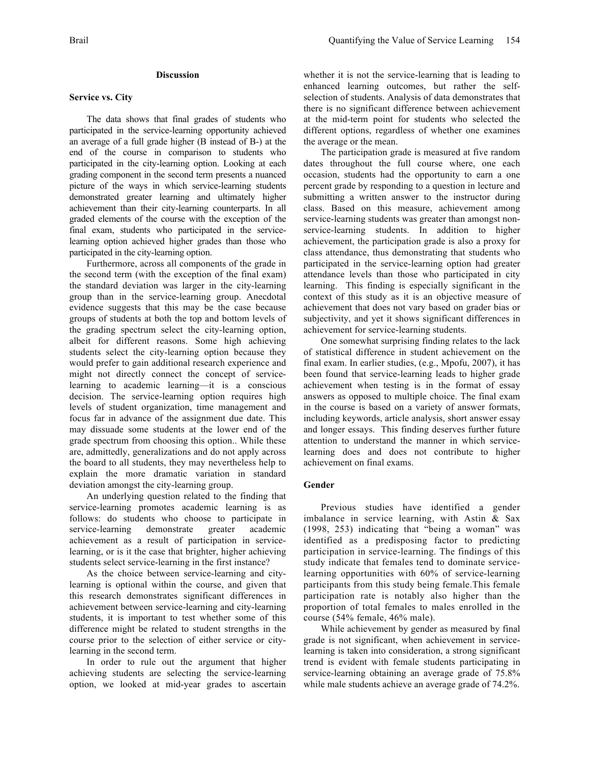## **Discussion**

#### **Service vs. City**

The data shows that final grades of students who participated in the service-learning opportunity achieved an average of a full grade higher (B instead of B-) at the end of the course in comparison to students who participated in the city-learning option. Looking at each grading component in the second term presents a nuanced picture of the ways in which service-learning students demonstrated greater learning and ultimately higher achievement than their city-learning counterparts. In all graded elements of the course with the exception of the final exam, students who participated in the servicelearning option achieved higher grades than those who participated in the city-learning option.

Furthermore, across all components of the grade in the second term (with the exception of the final exam) the standard deviation was larger in the city-learning group than in the service-learning group. Anecdotal evidence suggests that this may be the case because groups of students at both the top and bottom levels of the grading spectrum select the city-learning option, albeit for different reasons. Some high achieving students select the city-learning option because they would prefer to gain additional research experience and might not directly connect the concept of servicelearning to academic learning—it is a conscious decision. The service-learning option requires high levels of student organization, time management and focus far in advance of the assignment due date. This may dissuade some students at the lower end of the grade spectrum from choosing this option.. While these are, admittedly, generalizations and do not apply across the board to all students, they may nevertheless help to explain the more dramatic variation in standard deviation amongst the city-learning group.

An underlying question related to the finding that service-learning promotes academic learning is as follows: do students who choose to participate in service-learning demonstrate greater academic achievement as a result of participation in servicelearning, or is it the case that brighter, higher achieving students select service-learning in the first instance?

As the choice between service-learning and citylearning is optional within the course, and given that this research demonstrates significant differences in achievement between service-learning and city-learning students, it is important to test whether some of this difference might be related to student strengths in the course prior to the selection of either service or citylearning in the second term.

In order to rule out the argument that higher achieving students are selecting the service-learning option, we looked at mid-year grades to ascertain

whether it is not the service-learning that is leading to enhanced learning outcomes, but rather the selfselection of students. Analysis of data demonstrates that there is no significant difference between achievement at the mid-term point for students who selected the different options, regardless of whether one examines the average or the mean.

The participation grade is measured at five random dates throughout the full course where, one each occasion, students had the opportunity to earn a one percent grade by responding to a question in lecture and submitting a written answer to the instructor during class. Based on this measure, achievement among service-learning students was greater than amongst nonservice-learning students. In addition to higher achievement, the participation grade is also a proxy for class attendance, thus demonstrating that students who participated in the service-learning option had greater attendance levels than those who participated in city learning. This finding is especially significant in the context of this study as it is an objective measure of achievement that does not vary based on grader bias or subjectivity, and yet it shows significant differences in achievement for service-learning students.

One somewhat surprising finding relates to the lack of statistical difference in student achievement on the final exam. In earlier studies, (e.g., Mpofu, 2007), it has been found that service-learning leads to higher grade achievement when testing is in the format of essay answers as opposed to multiple choice. The final exam in the course is based on a variety of answer formats, including keywords, article analysis, short answer essay and longer essays. This finding deserves further future attention to understand the manner in which servicelearning does and does not contribute to higher achievement on final exams.

## **Gender**

Previous studies have identified a gender imbalance in service learning, with Astin & Sax (1998, 253) indicating that "being a woman" was identified as a predisposing factor to predicting participation in service-learning. The findings of this study indicate that females tend to dominate servicelearning opportunities with 60% of service-learning participants from this study being female.This female participation rate is notably also higher than the proportion of total females to males enrolled in the course (54% female, 46% male).

While achievement by gender as measured by final grade is not significant, when achievement in servicelearning is taken into consideration, a strong significant trend is evident with female students participating in service-learning obtaining an average grade of 75.8% while male students achieve an average grade of 74.2%.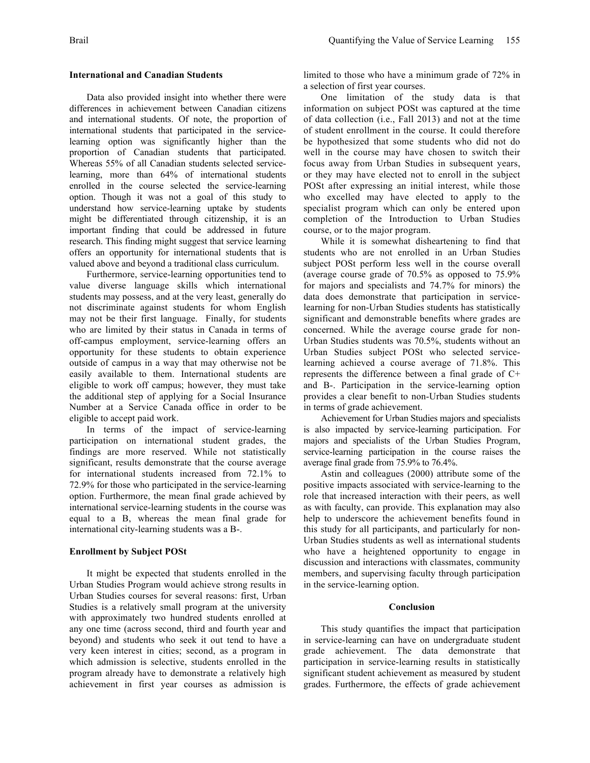## **International and Canadian Students**

Data also provided insight into whether there were differences in achievement between Canadian citizens and international students. Of note, the proportion of international students that participated in the servicelearning option was significantly higher than the proportion of Canadian students that participated. Whereas 55% of all Canadian students selected servicelearning, more than 64% of international students enrolled in the course selected the service-learning option. Though it was not a goal of this study to understand how service-learning uptake by students might be differentiated through citizenship, it is an important finding that could be addressed in future research. This finding might suggest that service learning offers an opportunity for international students that is valued above and beyond a traditional class curriculum.

Furthermore, service-learning opportunities tend to value diverse language skills which international students may possess, and at the very least, generally do not discriminate against students for whom English may not be their first language. Finally, for students who are limited by their status in Canada in terms of off-campus employment, service-learning offers an opportunity for these students to obtain experience outside of campus in a way that may otherwise not be easily available to them. International students are eligible to work off campus; however, they must take the additional step of applying for a Social Insurance Number at a Service Canada office in order to be eligible to accept paid work.

In terms of the impact of service-learning participation on international student grades, the findings are more reserved. While not statistically significant, results demonstrate that the course average for international students increased from 72.1% to 72.9% for those who participated in the service-learning option. Furthermore, the mean final grade achieved by international service-learning students in the course was equal to a B, whereas the mean final grade for international city-learning students was a B-.

## **Enrollment by Subject POSt**

It might be expected that students enrolled in the Urban Studies Program would achieve strong results in Urban Studies courses for several reasons: first, Urban Studies is a relatively small program at the university with approximately two hundred students enrolled at any one time (across second, third and fourth year and beyond) and students who seek it out tend to have a very keen interest in cities; second, as a program in which admission is selective, students enrolled in the program already have to demonstrate a relatively high achievement in first year courses as admission is

limited to those who have a minimum grade of 72% in a selection of first year courses.

One limitation of the study data is that information on subject POSt was captured at the time of data collection (i.e., Fall 2013) and not at the time of student enrollment in the course. It could therefore be hypothesized that some students who did not do well in the course may have chosen to switch their focus away from Urban Studies in subsequent years, or they may have elected not to enroll in the subject POSt after expressing an initial interest, while those who excelled may have elected to apply to the specialist program which can only be entered upon completion of the Introduction to Urban Studies course, or to the major program.

While it is somewhat disheartening to find that students who are not enrolled in an Urban Studies subject POSt perform less well in the course overall (average course grade of 70.5% as opposed to 75.9% for majors and specialists and 74.7% for minors) the data does demonstrate that participation in servicelearning for non-Urban Studies students has statistically significant and demonstrable benefits where grades are concerned. While the average course grade for non-Urban Studies students was 70.5%, students without an Urban Studies subject POSt who selected servicelearning achieved a course average of 71.8%. This represents the difference between a final grade of C+ and B-. Participation in the service-learning option provides a clear benefit to non-Urban Studies students in terms of grade achievement.

Achievement for Urban Studies majors and specialists is also impacted by service-learning participation. For majors and specialists of the Urban Studies Program, service-learning participation in the course raises the average final grade from 75.9% to 76.4%.

Astin and colleagues (2000) attribute some of the positive impacts associated with service-learning to the role that increased interaction with their peers, as well as with faculty, can provide. This explanation may also help to underscore the achievement benefits found in this study for all participants, and particularly for non-Urban Studies students as well as international students who have a heightened opportunity to engage in discussion and interactions with classmates, community members, and supervising faculty through participation in the service-learning option.

## **Conclusion**

This study quantifies the impact that participation in service-learning can have on undergraduate student grade achievement. The data demonstrate that participation in service-learning results in statistically significant student achievement as measured by student grades. Furthermore, the effects of grade achievement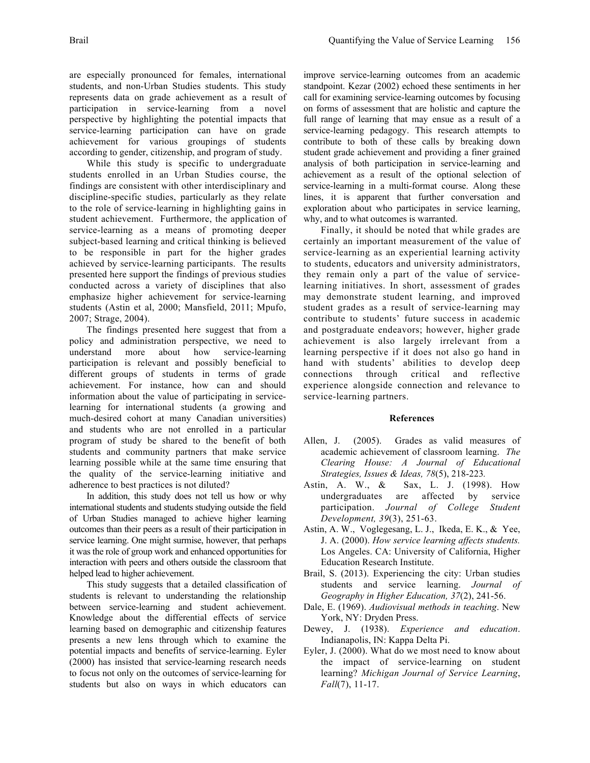are especially pronounced for females, international students, and non-Urban Studies students. This study represents data on grade achievement as a result of participation in service-learning from a novel perspective by highlighting the potential impacts that service-learning participation can have on grade achievement for various groupings of students according to gender, citizenship, and program of study.

While this study is specific to undergraduate students enrolled in an Urban Studies course, the findings are consistent with other interdisciplinary and discipline-specific studies, particularly as they relate to the role of service-learning in highlighting gains in student achievement. Furthermore, the application of service-learning as a means of promoting deeper subject-based learning and critical thinking is believed to be responsible in part for the higher grades achieved by service-learning participants. The results presented here support the findings of previous studies conducted across a variety of disciplines that also emphasize higher achievement for service-learning students (Astin et al, 2000; Mansfield, 2011; Mpufo, 2007; Strage, 2004).

The findings presented here suggest that from a policy and administration perspective, we need to understand more about how service-learning participation is relevant and possibly beneficial to different groups of students in terms of grade achievement. For instance, how can and should information about the value of participating in servicelearning for international students (a growing and much-desired cohort at many Canadian universities) and students who are not enrolled in a particular program of study be shared to the benefit of both students and community partners that make service learning possible while at the same time ensuring that the quality of the service-learning initiative and adherence to best practices is not diluted?

In addition, this study does not tell us how or why international students and students studying outside the field of Urban Studies managed to achieve higher learning outcomes than their peers as a result of their participation in service learning. One might surmise, however, that perhaps it was the role of group work and enhanced opportunities for interaction with peers and others outside the classroom that helped lead to higher achievement.

This study suggests that a detailed classification of students is relevant to understanding the relationship between service-learning and student achievement. Knowledge about the differential effects of service learning based on demographic and citizenship features presents a new lens through which to examine the potential impacts and benefits of service-learning. Eyler (2000) has insisted that service-learning research needs to focus not only on the outcomes of service-learning for students but also on ways in which educators can

improve service-learning outcomes from an academic standpoint. Kezar (2002) echoed these sentiments in her call for examining service-learning outcomes by focusing on forms of assessment that are holistic and capture the full range of learning that may ensue as a result of a service-learning pedagogy. This research attempts to contribute to both of these calls by breaking down student grade achievement and providing a finer grained analysis of both participation in service-learning and achievement as a result of the optional selection of service-learning in a multi-format course. Along these lines, it is apparent that further conversation and exploration about who participates in service learning, why, and to what outcomes is warranted.

Finally, it should be noted that while grades are certainly an important measurement of the value of service-learning as an experiential learning activity to students, educators and university administrators, they remain only a part of the value of servicelearning initiatives. In short, assessment of grades may demonstrate student learning, and improved student grades as a result of service-learning may contribute to students' future success in academic and postgraduate endeavors; however, higher grade achievement is also largely irrelevant from a learning perspective if it does not also go hand in hand with students' abilities to develop deep connections through critical and reflective experience alongside connection and relevance to service-learning partners.

## **References**

- Allen, J. (2005). Grades as valid measures of academic achievement of classroom learning. *The Clearing House: A Journal of Educational Strategies, Issues & Ideas, 78*(5), 218-223*.*
- Astin, A. W., & Sax, L. J. (1998). How undergraduates are affected by service participation. *Journal of College Student Development, 39*(3), 251-63.
- Astin, A. W., Voglegesang, L. J., Ikeda, E. K., & Yee, J. A. (2000). *How service learning affects students.*  Los Angeles. CA: University of California, Higher Education Research Institute.
- Brail, S. (2013). Experiencing the city: Urban studies students and service learning. *Journal of Geography in Higher Education, 37*(2), 241-56.
- Dale, E. (1969). *Audiovisual methods in teaching*. New York, NY: Dryden Press.
- Dewey, J. (1938). *Experience and education*. Indianapolis, IN: Kappa Delta Pi.
- Eyler, J. (2000). What do we most need to know about the impact of service-learning on student learning? *Michigan Journal of Service Learning*, *Fall*(7), 11-17.